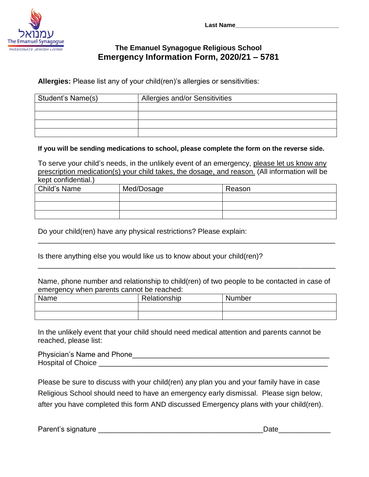

# **The Emanuel Synagogue Religious School Emergency Information Form, 2020/21 – 5781**

**Allergies:** Please list any of your child(ren)'s allergies or sensitivities:

| Student's Name(s) | Allergies and/or Sensitivities |  |  |
|-------------------|--------------------------------|--|--|
|                   |                                |  |  |
|                   |                                |  |  |
|                   |                                |  |  |
|                   |                                |  |  |

### **If you will be sending medications to school, please complete the form on the reverse side.**

To serve your child's needs, in the unlikely event of an emergency, please let us know any prescription medication(s) your child takes, the dosage, and reason. (All information will be kept confidential.)

| Child's Name | Med/Dosage | Reason |
|--------------|------------|--------|
|              |            |        |
|              |            |        |
|              |            |        |

\_\_\_\_\_\_\_\_\_\_\_\_\_\_\_\_\_\_\_\_\_\_\_\_\_\_\_\_\_\_\_\_\_\_\_\_\_\_\_\_\_\_\_\_\_\_\_\_\_\_\_\_\_\_\_\_\_\_\_\_\_\_\_\_\_\_\_\_\_\_\_\_\_\_

\_\_\_\_\_\_\_\_\_\_\_\_\_\_\_\_\_\_\_\_\_\_\_\_\_\_\_\_\_\_\_\_\_\_\_\_\_\_\_\_\_\_\_\_\_\_\_\_\_\_\_\_\_\_\_\_\_\_\_\_\_\_\_\_\_\_\_\_\_\_\_\_\_\_

Do your child(ren) have any physical restrictions? Please explain:

Is there anything else you would like us to know about your child(ren)?

Name, phone number and relationship to child(ren) of two people to be contacted in case of emergency when parents cannot be reached:

| Name | Relationship | Number |
|------|--------------|--------|
|      |              |        |
|      |              |        |

In the unlikely event that your child should need medical attention and parents cannot be reached, please list:

Physician's Name and Phone\_\_\_\_\_\_\_\_\_\_\_\_\_\_\_\_\_\_\_\_\_\_\_\_\_\_\_\_\_\_\_\_\_\_\_\_\_\_\_\_\_\_\_\_\_\_\_\_\_ Hospital of Choice

Please be sure to discuss with your child(ren) any plan you and your family have in case Religious School should need to have an emergency early dismissal. Please sign below, after you have completed this form AND discussed Emergency plans with your child(ren).

Parent's signature \_\_\_\_\_\_\_\_\_\_\_\_\_\_\_\_\_\_\_\_\_\_\_\_\_\_\_\_\_\_\_\_\_\_\_\_\_\_\_\_\_Date\_\_\_\_\_\_\_\_\_\_\_\_\_